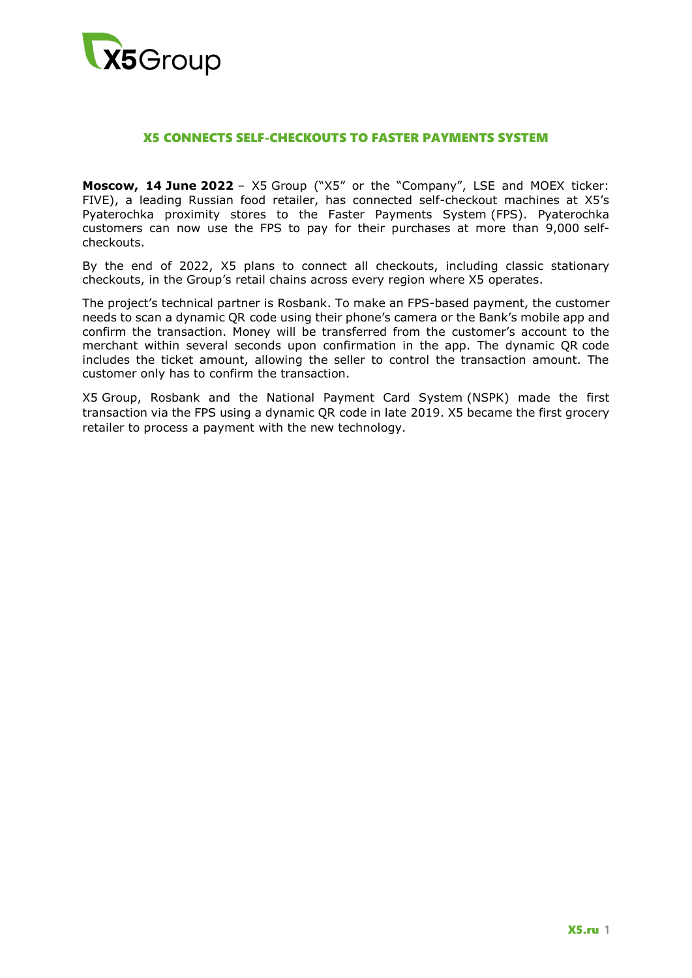

## X5 CONNECTS SELF-CHECKOUTS TO FASTER PAYMENTS SYSTEM

**Moscow, 14 June 2022** – X5 Group ("X5" or the "Company", LSE and MOEX ticker: FIVE), a leading Russian food retailer, has connected self-checkout machines at X5's Pyaterochka proximity stores to the Faster Payments System (FPS). Pyaterochka customers can now use the FPS to pay for their purchases at more than 9,000 selfcheckouts.

By the end of 2022, X5 plans to connect all checkouts, including classic stationary checkouts, in the Group's retail chains across every region where X5 operates.

The project's technical partner is Rosbank. To make an FPS-based payment, the customer needs to scan a dynamic QR code using their phone's camera or the Bank's mobile app and confirm the transaction. Money will be transferred from the customer's account to the merchant within several seconds upon confirmation in the app. The dynamic QR code includes the ticket amount, allowing the seller to control the transaction amount. The customer only has to confirm the transaction.

X5 Group, Rosbank and the National Payment Card System (NSPK) made the first transaction via the FPS using a dynamic QR code in late 2019. X5 became the first grocery retailer to process a payment with the new technology.